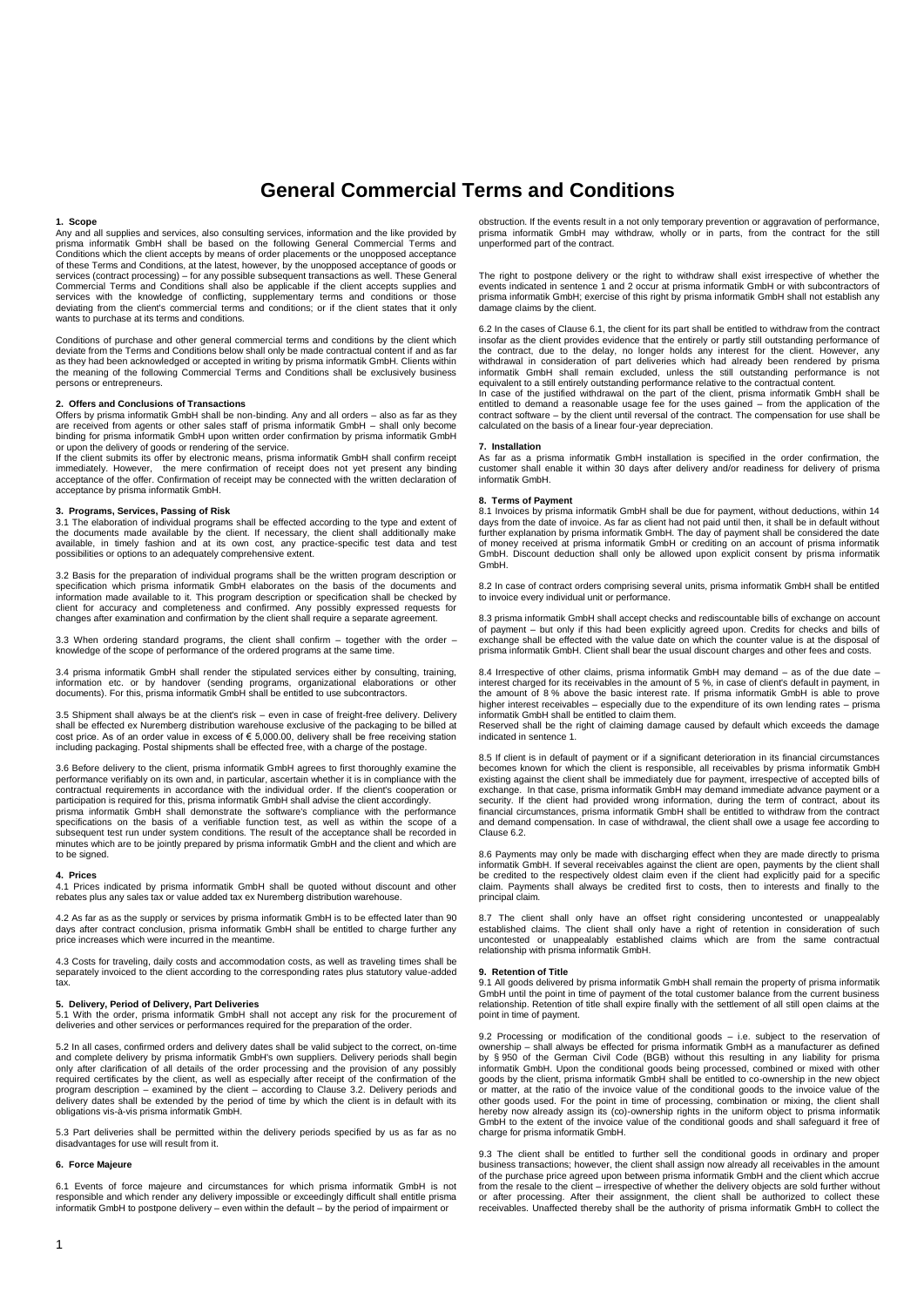# **General Commercial Terms and Conditions**

# **1. Scope**

Any and all supplies and services, also consulting services, information and the like provided by<br>prisma informatik GmbH shall be based on the following General Commercial Terms and<br>Conditions which the client accepts by m of these Terms and Conditions, at the latest, however, by the unopposed acceptance of goods or services (contract processing) – for any possible subsequent transactions as well. These General<br>Commercial Terms and Conditions shall also be applicable if the client accepts supplies and<br>services with the knowledge of co wants to purchase at its terms and conditions.

Conditions of purchase and other general commercial terms and conditions by the client which deviate from the Terms and Conditions below shall only be made contractual content if and as far as they had been acknowledged or accepted in writing by prisma informatik GmbH. Clients within the meaning of the following Commercial Terms and Conditions shall be exclusively business persons or entrepreneurs.

### **2. Offers and Conclusions of Transactions**

Offers by prisma informatik GmbH shall be non-binding. Any and all orders – also as far as they are received from agents or other sales staff of prisma informatik GmbH – shall only become binding for prisma informatik GmbH upon written order confirmation by prisma informatik GmbH or upon the delivery of goods or rendering of the service. If the client submits its offer by electronic means, prisma informatik GmbH shall confirm receipt

immediately. However, the mere confirmation of receipt does not yet present any binding acceptance of the offer. Confirmation of receipt may be connected with the written declaration of acceptance by prisma informatik GmbH.

### **3. Programs, Services, Passing of Risk**

3.1 The elaboration of individual programs shall be effected according to the type and extent of the documents made available by the client. If necessary, the client shall additionally make<br>available, in timely fashion and at its own cost, any practice-specific test data and test<br>possibilities or options to an adequat

3.2 Basis for the preparation of individual programs shall be the written program description or specification which prisma informatik GmbH elaborates on the basis of the documents and information made available to it. This program description or specification shall be checked by client for accuracy and completeness and confirmed. Any possibly expressed requests for changes after examination and confirmation by the client shall require a separate agreement.

3.3 When ordering standard programs, the client shall confirm – together with the order – knowledge of the scope of performance of the ordered programs at the same time.

3.4 prisma informatik GmbH shall render the stipulated services either by consulting, training, information etc. or by handover (sending programs, organizational elaborations or other documents). For this, prisma informatik GmbH shall be entitled to use subcontractors.

3.5 Shipment shall always be at the client's risk – even in case of freight-free delivery. Delivery shall be effected ex Nuremberg distribution warehouse exclusive of the packaging to be billed at<br>cost price. As of an order value in excess of € 5,000.00, delivery shall be free receiving station including packaging. Postal shipments shall be effected free, with a charge of the postage.

3.6 Before delivery to the client, prisma informatik GmbH agrees to first thoroughly examine the performance verifiably on its own and, in particular, ascertain whether it is in compliance with the contractual requirements in accordance with the individual order. If the client's cooperation or participation is required for this, prisma informatik GmbH shall advise the client accordingly. prisma informatik GmbH shall demonstrate the software's compliance with the performance

specifications on the basis of a verifiable function test, as well as within the scope of a subsequent test run under system conditions. The result of the acceptance shall be recorded in minutes which are to be jointly prepared by prisma informatik GmbH and the client and which are to be signed.

#### **4. Prices**

4.1 Prices indicated by prisma informatik GmbH shall be quoted without discount and other rebates plus any sales tax or value added tax ex Nuremberg distribution warehouse.

4.2 As far as as the supply or services by prisma informatik GmbH is to be effected later than 90 days after contract conclusion, prisma informatik GmbH shall be entitled to charge further any price increases which were incurred in the meantime.

4.3 Costs for traveling, daily costs and accommodation costs, as well as traveling times shall be separately invoiced to the client according to the corresponding rates plus statutory value-added  $\ddotsc$ 

**5. Delivery, Period of Delivery, Part Deliveries** 5.1 With the order, prisma informatik GmbH shall not accept any risk for the procurement of deliveries and other services or performances required for the preparation of the order.

5.2 In all cases, confirmed orders and delivery dates shall be valid subject to the correct, on-time and complete delivery by prisma informatik GmbH's own suppliers. Delivery periods shall begin<br>only after clarification of all details of the order processing and the provision of any possibly<br>required certificates by the c delivery dates shall be extended by the period of time by which the client is in default with its obligations vis-à-vis prisma informatik GmbH.

5.3 Part deliveries shall be permitted within the delivery periods specified by us as far as no disadvantages for use will result from it.

#### **6. Force Majeure**

6.1 Events of force majeure and circumstances for which prisma informatik GmbH is not responsible and which render any delivery impossible or exceedingly difficult shall entitle prisma informatik GmbH to postpone delivery – even within the default – by the period of impairment or

obstruction. If the events result in a not only temporary prevention or aggravation of performance, prisma informatik GmbH may withdraw, wholly or in parts, from the contract for the still unperformed part of the contract.

The right to postpone delivery or the right to withdraw shall exist irrespective of whether the events indicated in sentence 1 and 2 occur at prisma informatik GmbH or with subcontractors of prisma informatik GmbH; exercise of this right by prisma informatik GmbH shall not establish any damage claims by the client.

6.2 In the cases of Clause 6.1, the client for its part shall be entitled to withdraw from the contract insofar as the client provides evidence that the entirely or partly still outstanding performance of the contract, due to the delay, no longer holds any interest for the client. However, any withdrawal in consideration of part deliveries which had already been rendered by prisma informatik GmbH shall remain excluded, unless the still outstanding performance is not equivalent to a still entirely outstanding performance relative to the contractual content.

In case of the justified withdrawal on the part of the client, prisma informatik GmbH shall be entitled to demand a reasonable usage fee for the uses gained – from the application of the contract software – by the client until reversal of the contract. The compensation for use shall be calculated on the basis of a linear four-year depreciation.

#### **7. Installation**

As far as a prisma informatik GmbH installation is specified in the order confirmation, the customer shall enable it within 30 days after delivery and/or readiness for delivery of prisma informatik GmbH.

### **8. Terms of Payment**

8.1 Invoices by prisma informatik GmbH shall be due for payment, without deductions, within 14 days from the date of invoice. As far as client had not paid until then, it shall be in default without further explanation by prisma informatik GmbH. The day of payment shall be considered the date<br>of money received at prisma informatik GmbH or crediting on an account of prisma informatik<br>GmbH. Discount deduction shall only GmbH.

8.2 In case of contract orders comprising several units, prisma informatik GmbH shall be entitled to invoice every individual unit or performance.

8.3 prisma informatik GmbH shall accept checks and rediscountable bills of exchange on account of payment – but only if this had been explicitly agreed upon. Credits for checks and bills of exchange shall be effected with the value date on which the counter value is at the disposal of prisma informatik GmbH. Client shall bear the usual discount charges and other fees and costs.

8.4 Irrespective of other claims, prisma informatik GmbH may demand – as of the due date – interest charged for its receivables in the amount of 5 %, in case of client's default in payment, in the amount of 8 % above the basic interest rate. If prisma informatik GmbH is able to prove higher interest receivables – especially due to the expenditure of its own lending rates – prisma informatik GmbH shall be entitled to claim them.

Reserved shall be the right of claiming damage caused by default which exceeds the damage indicated in sentence 1.

8.5 If client is in default of payment or if a significant deterioration in its financial circumstances becomes known for which the client is responsible, all receivables by prisma informatik GmbH existing against the client shall be immediately due for payment, irrespective of accepted bills of exchange. In that case, prisma informatik GmbH may demand immediate advance payment or a security. If the client had provided wrong information, during the term of contract, about its financial circumstances, prisma informatik GmbH shall be entitled to withdraw from the contract and demand compensation. In case of withdrawal, the client shall owe a usage fee according to Clause 6.2.

8.6 Payments may only be made with discharging effect when they are made directly to prisma informatik GmbH. If several receivables against the client are open, payments by the client shall be credited to the respectively oldest claim even if the client had explicitly paid for a specific claim. Payments shall always be credited first to costs, then to interests and finally to the principal claim.

8.7 The client shall only have an offset right considering uncontested or unappealably established claims. The client shall only have a right of retention in consideration of such uncontested or unappealably established claims which are from the same contractual relationship with prisma informatik GmbH.

#### **9. Retention of Title**

9.1 All goods delivered by prisma informatik GmbH shall remain the property of prisma informatik GmbH until the point in time of payment of the total customer balance from the current business relationship. Retention of title shall expire finally with the settlement of all still open claims at the point in time of payment.

9.2 Processing or modification of the conditional goods – i.e. subject to the reservation of ownership – shall always be effected for prisma informatik GmbH as a manufacturer as defined by § 950 of the German Civil Code (BGB) without this resulting in any liability for prisma<br>informatik GmbH. Upon the conditional goods being processed, combined or mixed with other<br>goods by the client, prisma informatik Gm other goods used. For the point in time of processing, combination or mixing, the client shall hereby now already assign its (co)-ownership rights in the uniform object to prisma informatik GmbH to the extent of the invoice value of the conditional goods and shall safeguard it free of charge for prisma informatik GmbH.

9.3 The client shall be entitled to further sell the conditional goods in ordinary and proper business transactions; however, the client shall assign now already all receivables in the amount of the purchase price agreed upon between prisma informatik GmbH and the client which accrue from the resale to the client – irrespective of whether the delivery objects are sold further without or after processing. After their assignment, the client shall be authorized to collect these receivables. Unaffected thereby shall be the authority of prisma informatik GmbH to collect the